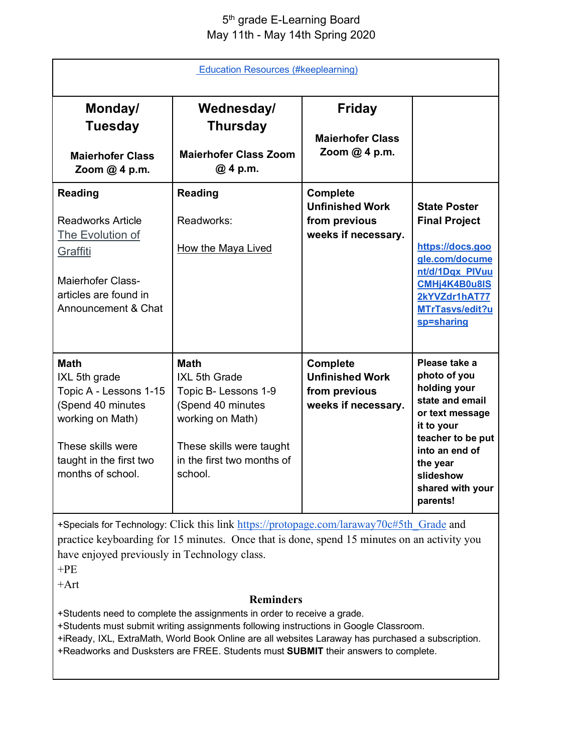## 5<sup>th</sup> grade E-Learning Board May 11th - May 14th Spring 2020

| <b>Education Resources (#keeplearning)</b>                                                                                                                           |                                                                                                                                                                    |                                                                                   |                                                                                                                                                                                                   |  |  |
|----------------------------------------------------------------------------------------------------------------------------------------------------------------------|--------------------------------------------------------------------------------------------------------------------------------------------------------------------|-----------------------------------------------------------------------------------|---------------------------------------------------------------------------------------------------------------------------------------------------------------------------------------------------|--|--|
| Monday/<br><b>Tuesday</b><br><b>Maierhofer Class</b><br>Zoom $@$ 4 p.m.                                                                                              | Wednesday/<br><b>Thursday</b><br><b>Maierhofer Class Zoom</b><br>@ 4 p.m.                                                                                          | <b>Friday</b><br><b>Maierhofer Class</b><br>Zoom $@$ 4 p.m.                       |                                                                                                                                                                                                   |  |  |
| <b>Reading</b><br><b>Readworks Article</b><br>The Evolution of<br>Graffiti<br>Maierhofer Class-<br>articles are found in<br>Announcement & Chat                      | <b>Reading</b><br>Readworks:<br><b>How the Maya Lived</b>                                                                                                          | <b>Complete</b><br><b>Unfinished Work</b><br>from previous<br>weeks if necessary. | <b>State Poster</b><br><b>Final Project</b><br>https://docs.goo<br>gle.com/docume<br>nt/d/1Dqx PIVuu<br>CMHj4K4B0u8IS<br>2kYVZdr1hAT77<br>MTrTasvs/edit?u<br>sp=sharing                           |  |  |
| <b>Math</b><br>IXL 5th grade<br>Topic A - Lessons 1-15<br>(Spend 40 minutes<br>working on Math)<br>These skills were<br>taught in the first two<br>months of school. | <b>Math</b><br>IXL 5th Grade<br>Topic B- Lessons 1-9<br>(Spend 40 minutes<br>working on Math)<br>These skills were taught<br>in the first two months of<br>school. | <b>Complete</b><br><b>Unfinished Work</b><br>from previous<br>weeks if necessary. | Please take a<br>photo of you<br>holding your<br>state and email<br>or text message<br>it to your<br>teacher to be put<br>into an end of<br>the year<br>slideshow<br>shared with your<br>parents! |  |  |

+Specials for Technology: Click this link https://protopage.com/laraway70c#5th\_Grade and practice keyboarding for 15 minutes. Once that is done, spend 15 minutes on an activity you have enjoyed previously in Technology class.

+PE

+Art

## **Reminders**

+Students need to complete the assignments in order to receive a grade.

+Students must submit writing assignments following instructions in Google Classroom.

+iReady, IXL, ExtraMath, World Book Online are all websites Laraway has purchased a subscription.

+Readworks and Dusksters are FREE. Students must **SUBMIT** their answers to complete.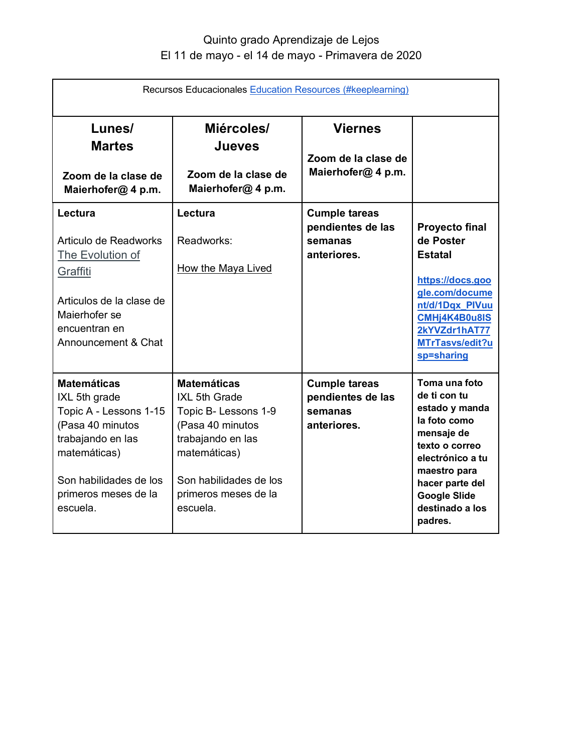## Quinto grado Aprendizaje de Lejos El 11 de mayo - el 14 de mayo - Primavera de 2020

| Recursos Educacionales Education Resources (#keeplearning)                                                                                                                           |                                                                                                                                                                                    |                                                                     |                                                                                                                                                                                                             |  |
|--------------------------------------------------------------------------------------------------------------------------------------------------------------------------------------|------------------------------------------------------------------------------------------------------------------------------------------------------------------------------------|---------------------------------------------------------------------|-------------------------------------------------------------------------------------------------------------------------------------------------------------------------------------------------------------|--|
| Lunes/<br><b>Martes</b><br>Zoom de la clase de                                                                                                                                       | Miércoles/<br><b>Jueves</b><br>Zoom de la clase de                                                                                                                                 | <b>Viernes</b><br>Zoom de la clase de<br>Maierhofer@ 4 p.m.         |                                                                                                                                                                                                             |  |
| Maierhofer@ 4 p.m.<br>Lectura<br>Articulo de Readworks<br><b>The Evolution of</b><br>Graffiti<br>Articulos de la clase de<br>Maierhofer se<br>encuentran en<br>Announcement & Chat   | Maierhofer@ 4 p.m.<br>Lectura<br>Readworks:<br><b>How the Maya Lived</b>                                                                                                           | <b>Cumple tareas</b><br>pendientes de las<br>semanas<br>anteriores. | <b>Proyecto final</b><br>de Poster<br><b>Estatal</b><br>https://docs.goo<br>gle.com/docume<br>nt/d/1Dqx PIVuu<br>CMHj4K4B0u8IS<br>2kYVZdr1hAT77<br>MTrTasvs/edit?u<br>sp=sharing                            |  |
| <b>Matemáticas</b><br>IXL 5th grade<br>Topic A - Lessons 1-15<br>(Pasa 40 minutos<br>trabajando en las<br>matemáticas)<br>Son habilidades de los<br>primeros meses de la<br>escuela. | <b>Matemáticas</b><br>IXL 5th Grade<br>Topic B- Lessons 1-9<br>(Pasa 40 minutos<br>trabajando en las<br>matemáticas)<br>Son habilidades de los<br>primeros meses de la<br>escuela. | <b>Cumple tareas</b><br>pendientes de las<br>semanas<br>anteriores. | Toma una foto<br>de ti con tu<br>estado y manda<br>la foto como<br>mensaje de<br>texto o correo<br>electrónico a tu<br>maestro para<br>hacer parte del<br><b>Google Slide</b><br>destinado a los<br>padres. |  |